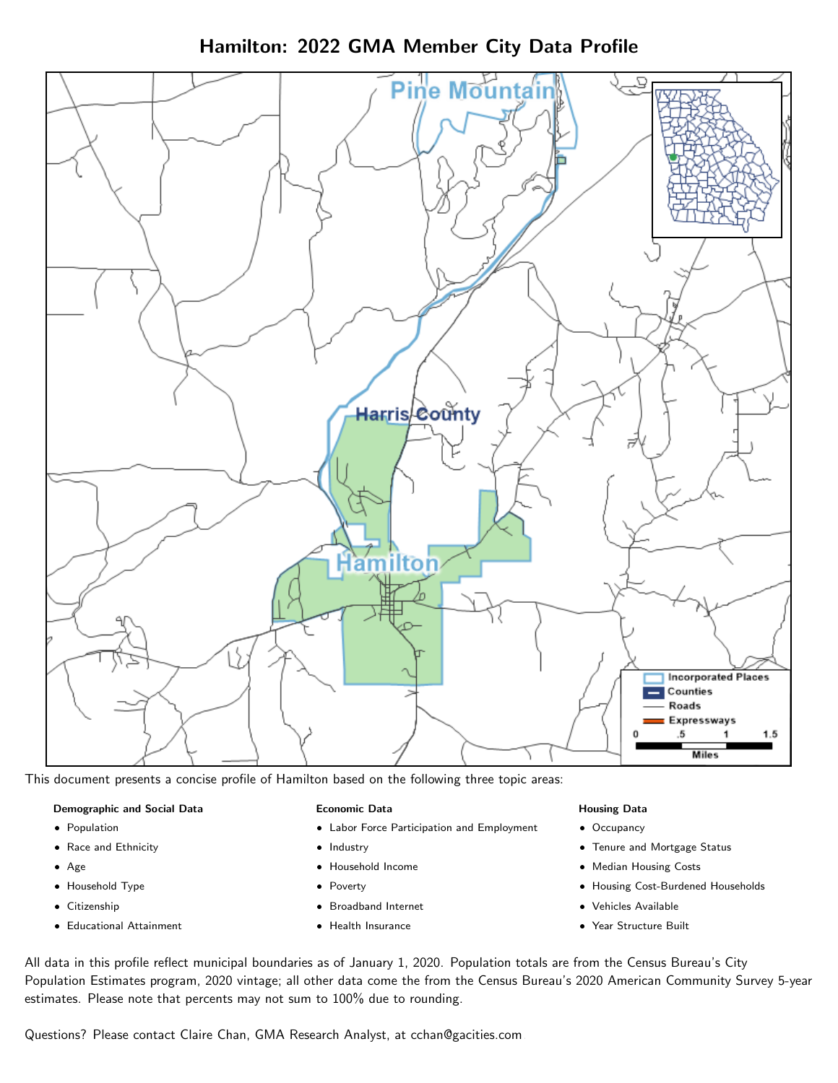Hamilton: 2022 GMA Member City Data Profile



This document presents a concise profile of Hamilton based on the following three topic areas:

#### Demographic and Social Data

- **•** Population
- Race and Ethnicity
- Age
- Household Type
- **Citizenship**
- Educational Attainment

#### Economic Data

- Labor Force Participation and Employment
- Industry
- Household Income
- Poverty
- Broadband Internet
- Health Insurance

#### Housing Data

- Occupancy
- Tenure and Mortgage Status
- Median Housing Costs
- Housing Cost-Burdened Households
- Vehicles Available
- Year Structure Built

All data in this profile reflect municipal boundaries as of January 1, 2020. Population totals are from the Census Bureau's City Population Estimates program, 2020 vintage; all other data come the from the Census Bureau's 2020 American Community Survey 5-year estimates. Please note that percents may not sum to 100% due to rounding.

Questions? Please contact Claire Chan, GMA Research Analyst, at [cchan@gacities.com.](mailto:cchan@gacities.com)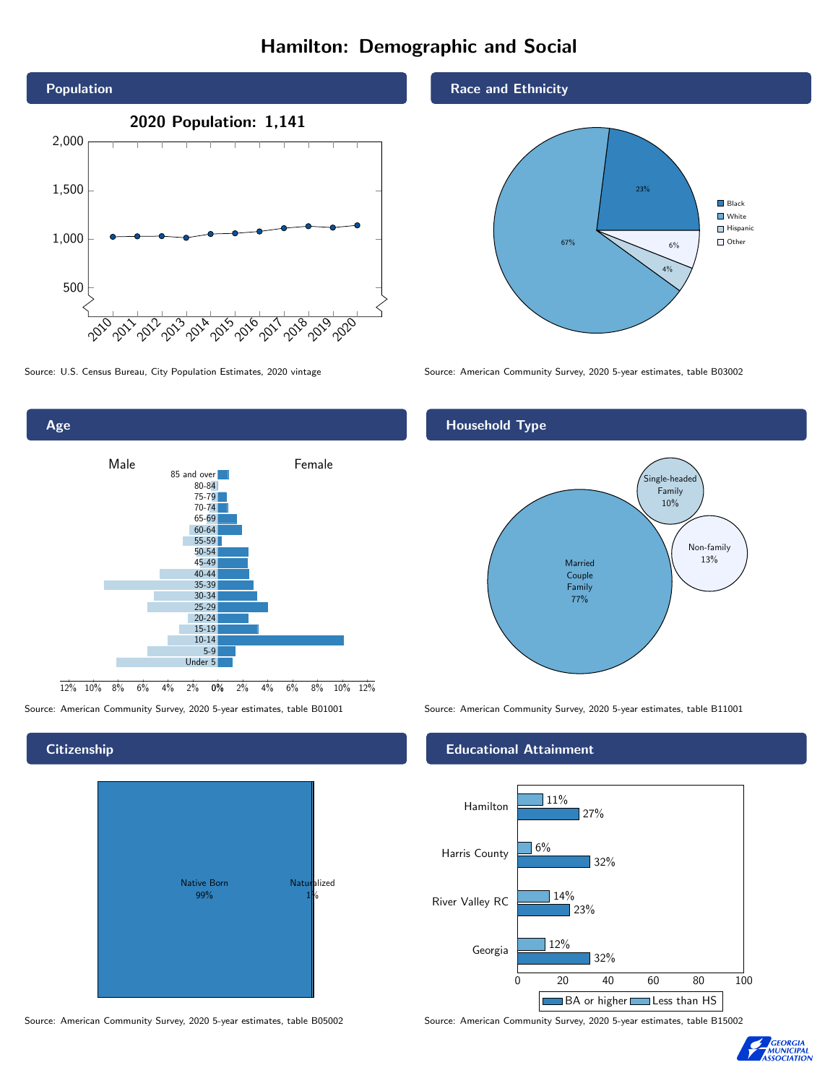# Hamilton: Demographic and Social



0% 2% 4% 6% 8% 10% 12% Male **Female**  $12\%$  10% 8% 6% 4% 85 and over 80-84 75-79 70-74 65-69 60-64 55-59 50-54 45-49 40-44 35-39 30-34 25-29 20-24 15-19 10-14 5-9 Under 5

# **Citizenship**

Age



Source: American Community Survey, 2020 5-year estimates, table B05002 Source: American Community Survey, 2020 5-year estimates, table B15002

### Race and Ethnicity



Source: U.S. Census Bureau, City Population Estimates, 2020 vintage Source: American Community Survey, 2020 5-year estimates, table B03002

## Household Type



Source: American Community Survey, 2020 5-year estimates, table B01001 Source: American Community Survey, 2020 5-year estimates, table B11001

#### Educational Attainment



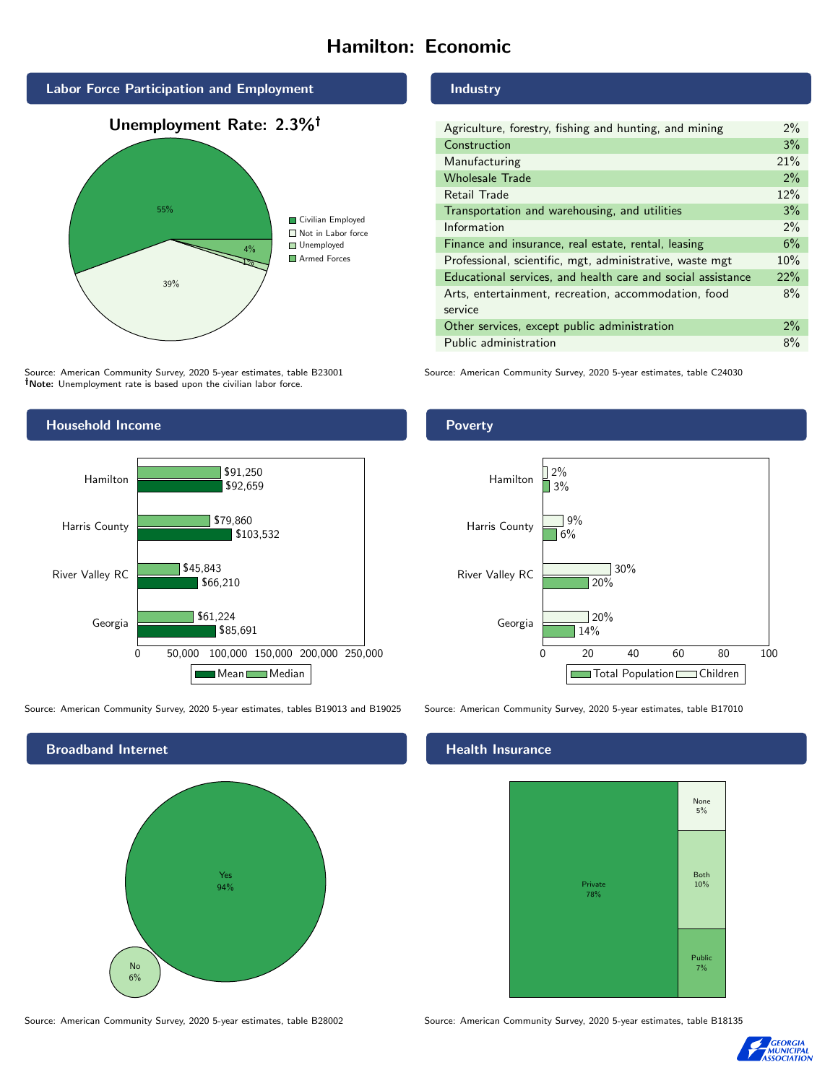# Hamilton: Economic



Source: American Community Survey, 2020 5-year estimates, table B23001 Note: Unemployment rate is based upon the civilian labor force.

## Household Income



Source: American Community Survey, 2020 5-year estimates, tables B19013 and B19025 Source: American Community Survey, 2020 5-year estimates, table B17010



Source: American Community Survey, 2020 5-year estimates, table B28002 Source: American Community Survey, 2020 5-year estimates, table B18135

#### Industry

Poverty

| Agriculture, forestry, fishing and hunting, and mining      | 2%    |
|-------------------------------------------------------------|-------|
| Construction                                                | 3%    |
| Manufacturing                                               | 21%   |
| <b>Wholesale Trade</b>                                      | 2%    |
| Retail Trade                                                | 12%   |
| Transportation and warehousing, and utilities               | 3%    |
| Information                                                 | $2\%$ |
| Finance and insurance, real estate, rental, leasing         | 6%    |
| Professional, scientific, mgt, administrative, waste mgt    | 10%   |
| Educational services, and health care and social assistance | 22%   |
| Arts, entertainment, recreation, accommodation, food        | 8%    |
| service                                                     |       |
| Other services, except public administration                | $2\%$ |
| Public administration                                       | 8%    |

Source: American Community Survey, 2020 5-year estimates, table C24030



## **Health Insurance**